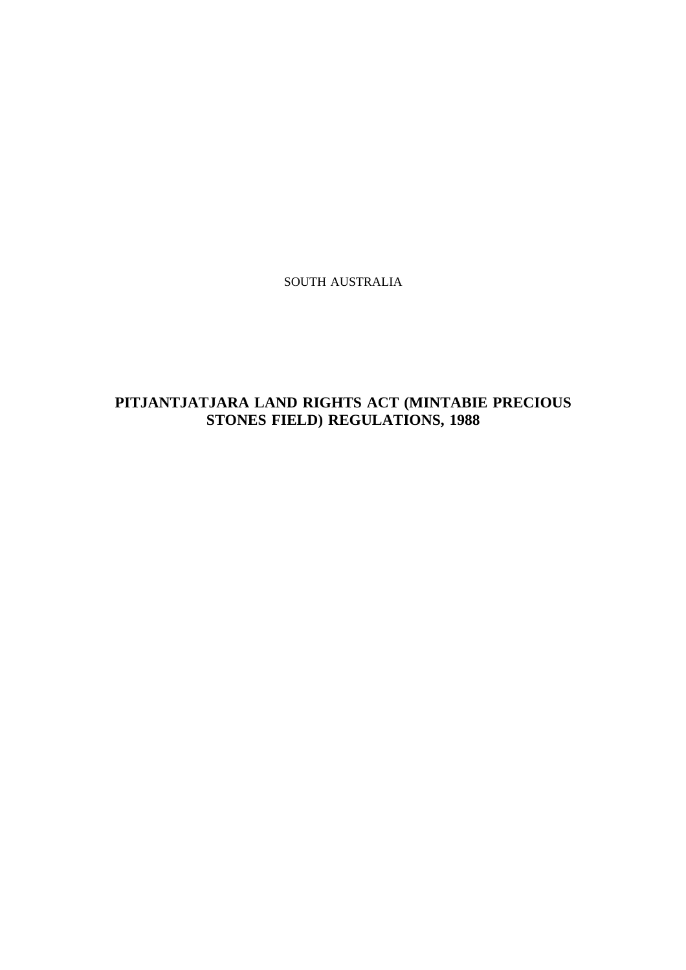SOUTH AUSTRALIA

## **PITJANTJATJARA LAND RIGHTS ACT (MINTABIE PRECIOUS STONES FIELD) REGULATIONS, 1988**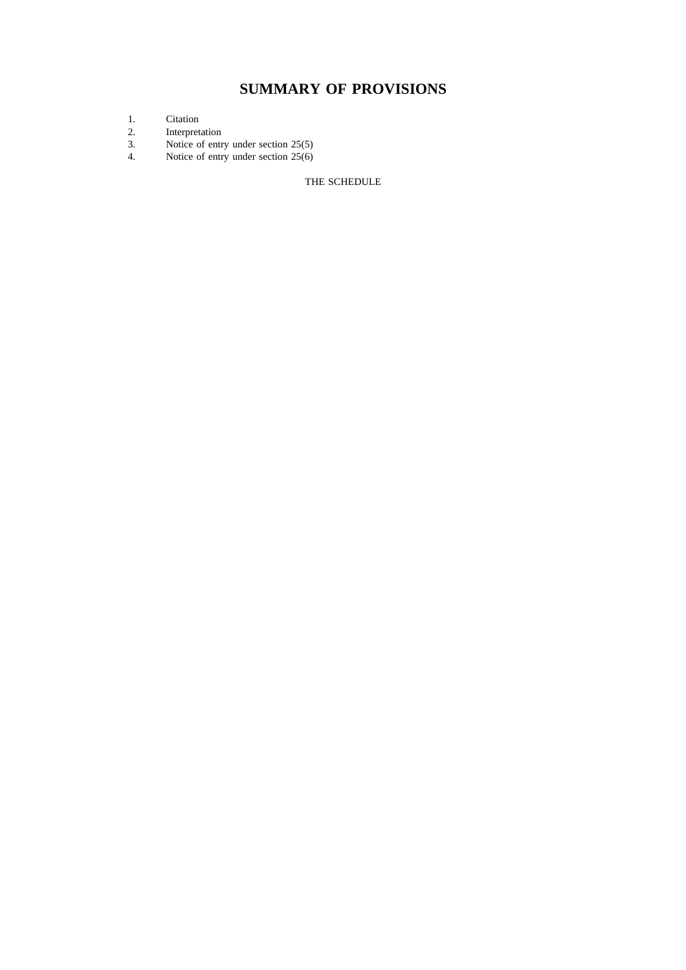# **SUMMARY OF PROVISIONS**

- 1. Citation<br>2. Interpret
- 2. Interpretation
- 3. Notice of entry under section 25(5)
- 4. Notice of entry under section 25(6)

#### THE SCHEDULE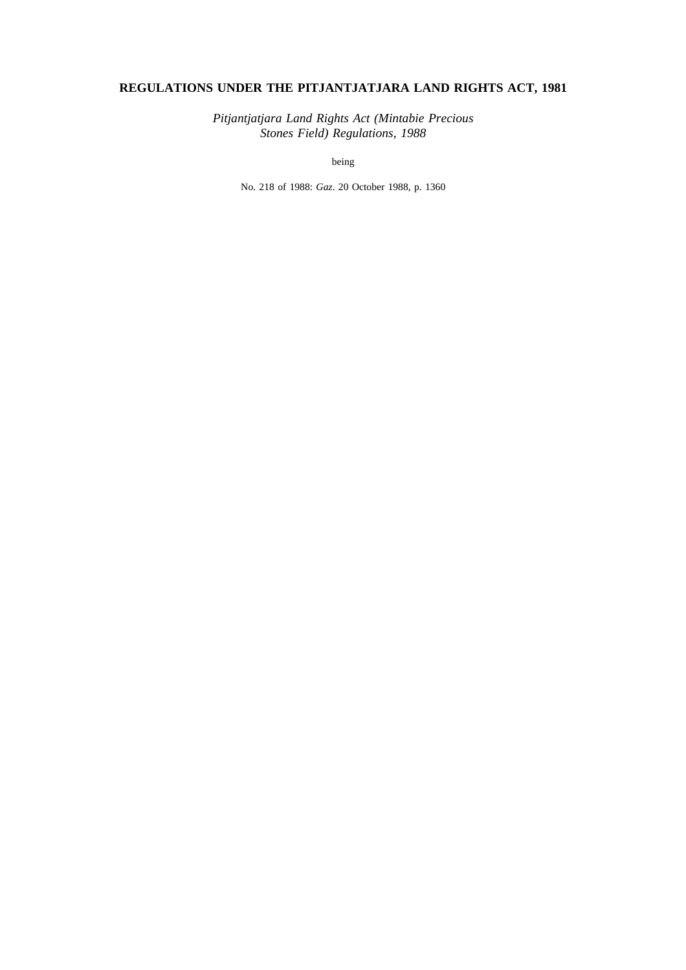### **REGULATIONS UNDER THE PITJANTJATJARA LAND RIGHTS ACT, 1981**

*Pitjantjatjara Land Rights Act (Mintabie Precious Stones Field) Regulations, 1988*

being

No. 218 of 1988: *Gaz*. 20 October 1988, p. 1360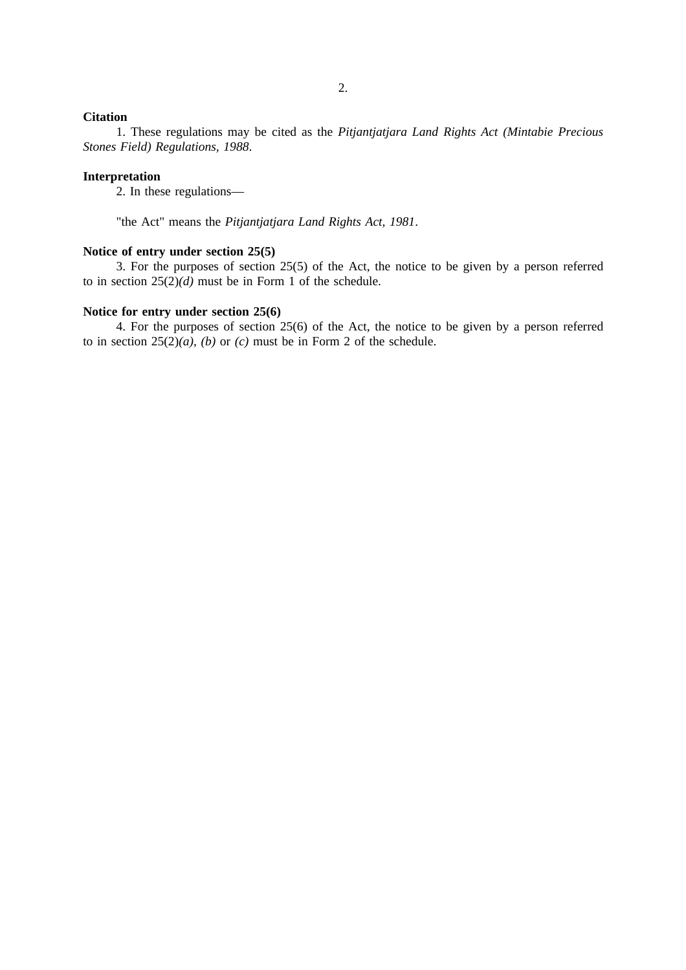### **Citation**

1. These regulations may be cited as the *Pitjantjatjara Land Rights Act (Mintabie Precious Stones Field) Regulations, 1988*.

#### **Interpretation**

2. In these regulations—

"the Act" means the *Pitjantjatjara Land Rights Act, 1981*.

#### **Notice of entry under section 25(5)**

3. For the purposes of section 25(5) of the Act, the notice to be given by a person referred to in section 25(2)*(d)* must be in Form 1 of the schedule.

#### **Notice for entry under section 25(6)**

4. For the purposes of section 25(6) of the Act, the notice to be given by a person referred to in section  $25(2)(a)$ , *(b)* or *(c)* must be in Form 2 of the schedule.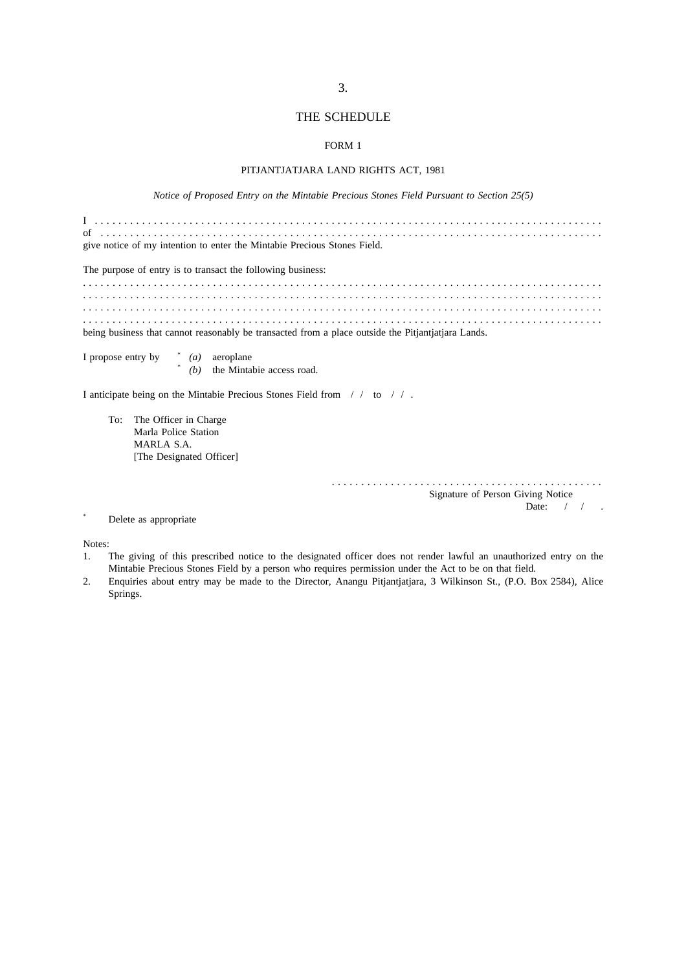#### THE SCHEDULE

#### FORM 1

#### PITJANTJATJARA LAND RIGHTS ACT, 1981

*Notice of Proposed Entry on the Mintabie Precious Stones Field Pursuant to Section 25(5)*

.............................................. Signature of Person Giving Notice Date: / / .

\* Delete as appropriate

Notes:

- 1. The giving of this prescribed notice to the designated officer does not render lawful an unauthorized entry on the Mintabie Precious Stones Field by a person who requires permission under the Act to be on that field.
- 2. Enquiries about entry may be made to the Director, Anangu Pitjantjatjara, 3 Wilkinson St., (P.O. Box 2584), Alice Springs.